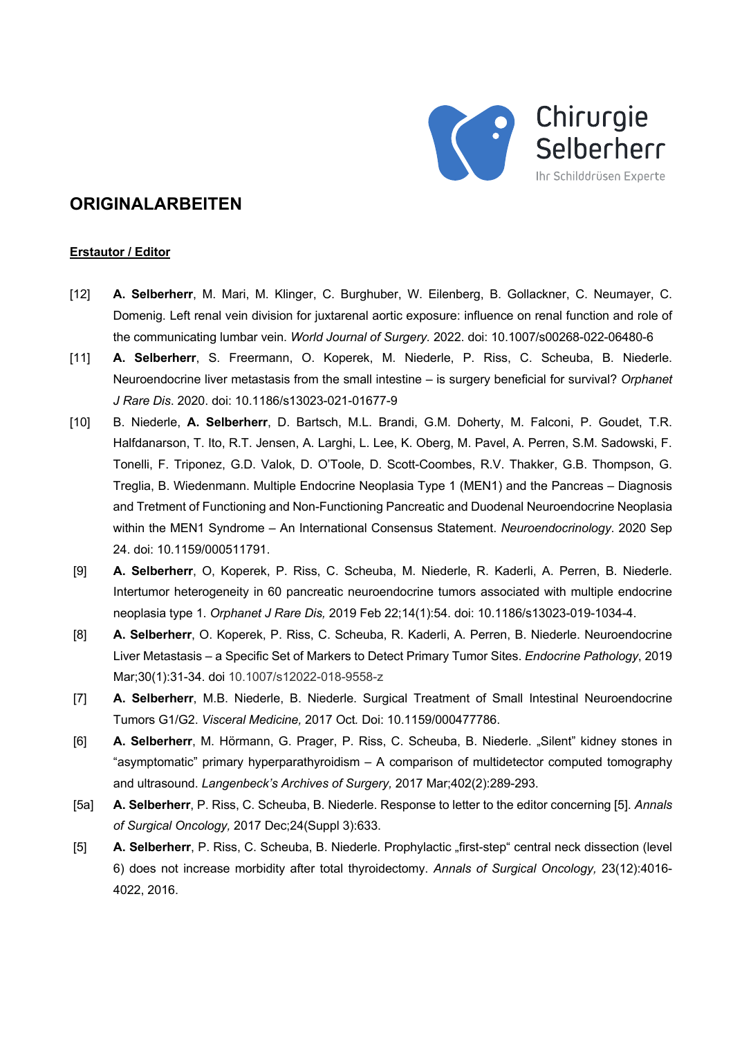

# **ORIGINALARBEITEN**

#### **Erstautor / Editor**

- [12] **A. Selberherr**, M. Mari, M. Klinger, C. Burghuber, W. Eilenberg, B. Gollackner, C. Neumayer, C. Domenig. Left renal vein division for juxtarenal aortic exposure: influence on renal function and role of the communicating lumbar vein. *World Journal of Surgery.* 2022. doi: 10.1007/s00268-022-06480-6
- [11] **A. Selberherr**, S. Freermann, O. Koperek, M. Niederle, P. Riss, C. Scheuba, B. Niederle. Neuroendocrine liver metastasis from the small intestine – is surgery beneficial for survival? *Orphanet J Rare Dis*. 2020. doi: 10.1186/s13023-021-01677-9
- [10] B. Niederle, **A. Selberherr**, D. Bartsch, M.L. Brandi, G.M. Doherty, M. Falconi, P. Goudet, T.R. Halfdanarson, T. Ito, R.T. Jensen, A. Larghi, L. Lee, K. Oberg, M. Pavel, A. Perren, S.M. Sadowski, F. Tonelli, F. Triponez, G.D. Valok, D. O'Toole, D. Scott-Coombes, R.V. Thakker, G.B. Thompson, G. Treglia, B. Wiedenmann. Multiple Endocrine Neoplasia Type 1 (MEN1) and the Pancreas – Diagnosis and Tretment of Functioning and Non-Functioning Pancreatic and Duodenal Neuroendocrine Neoplasia within the MEN1 Syndrome – An International Consensus Statement. *Neuroendocrinology*. 2020 Sep 24. doi: 10.1159/000511791.
- [9] **A. Selberherr**, O, Koperek, P. Riss, C. Scheuba, M. Niederle, R. Kaderli, A. Perren, B. Niederle. Intertumor heterogeneity in 60 pancreatic neuroendocrine tumors associated with multiple endocrine neoplasia type 1. *Orphanet J Rare Dis,* 2019 Feb 22;14(1):54. doi: 10.1186/s13023-019-1034-4.
- [8] **A. Selberherr**, O. Koperek, P. Riss, C. Scheuba, R. Kaderli, A. Perren, B. Niederle. Neuroendocrine Liver Metastasis – a Specific Set of Markers to Detect Primary Tumor Sites. *Endocrine Pathology*, 2019 Mar;30(1):31-34. doi 10.1007/s12022-018-9558-z
- [7] **A. Selberherr**, M.B. Niederle, B. Niederle. Surgical Treatment of Small Intestinal Neuroendocrine Tumors G1/G2. *Visceral Medicine,* 2017 Oct*.* Doi: 10.1159/000477786.
- [6] **A. Selberherr**, M. Hörmann, G. Prager, P. Riss, C. Scheuba, B. Niederle. "Silent" kidney stones in "asymptomatic" primary hyperparathyroidism – A comparison of multidetector computed tomography and ultrasound. *Langenbeck's Archives of Surgery,* 2017 Mar;402(2):289-293.
- [5a] **A. Selberherr**, P. Riss, C. Scheuba, B. Niederle. Response to letter to the editor concerning [5]. *Annals of Surgical Oncology,* 2017 Dec;24(Suppl 3):633.
- [5] **A. Selberherr**, P. Riss, C. Scheuba, B. Niederle. Prophylactic "first-step" central neck dissection (level 6) does not increase morbidity after total thyroidectomy. *Annals of Surgical Oncology,* 23(12):4016- 4022, 2016.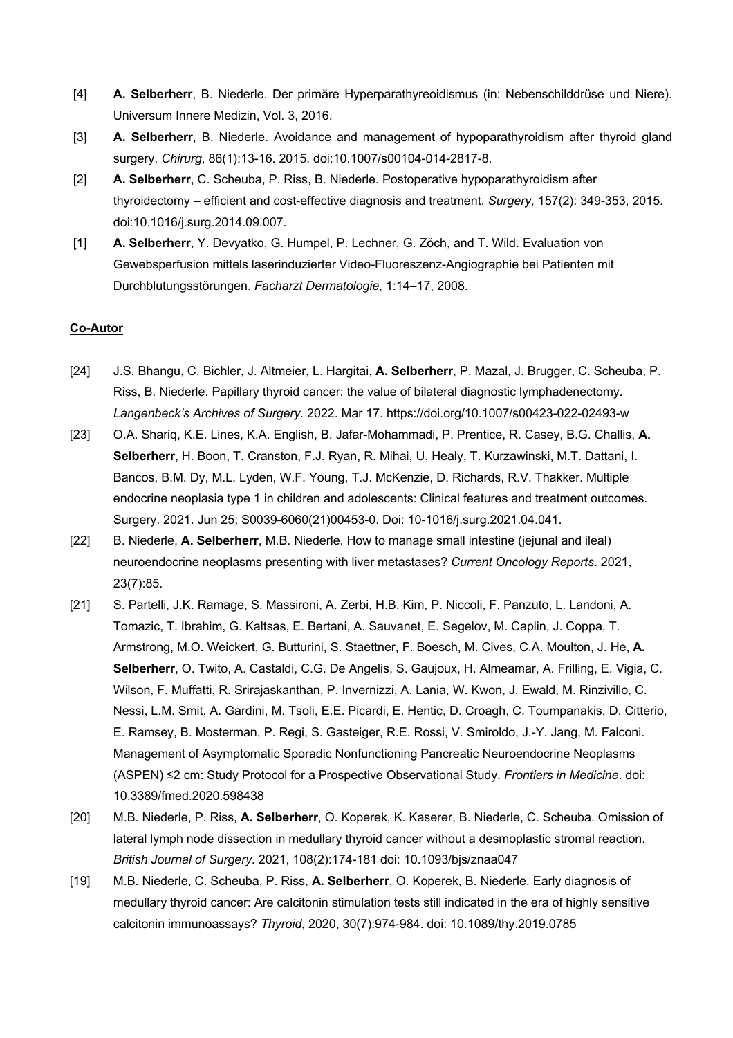- [4] **A. Selberherr**, B. Niederle. Der primäre Hyperparathyreoidismus (in: Nebenschilddrüse und Niere). Universum Innere Medizin, Vol. 3, 2016.
- [3] **A. Selberherr**, B. Niederle. Avoidance and management of hypoparathyroidism after thyroid gland surgery. *Chirurg*, 86(1):13-16. 2015. doi:10.1007/s00104-014-2817-8.
- [2] **A. Selberherr**, C. Scheuba, P. Riss, B. Niederle. Postoperative hypoparathyroidism after thyroidectomy – efficient and cost-effective diagnosis and treatment. *Surgery*, 157(2): 349-353, 2015. doi:10.1016/j.surg.2014.09.007.
- [1] **A. Selberherr**, Y. Devyatko, G. Humpel, P. Lechner, G. Zöch, and T. Wild. Evaluation von Gewebsperfusion mittels laserinduzierter Video-Fluoreszenz-Angiographie bei Patienten mit Durchblutungsstörungen. *Facharzt Dermatologie*, 1:14–17, 2008.

### **Co-Autor**

- [24] J.S. Bhangu, C. Bichler, J. Altmeier, L. Hargitai, **A. Selberherr**, P. Mazal, J. Brugger, C. Scheuba, P. Riss, B. Niederle. Papillary thyroid cancer: the value of bilateral diagnostic lymphadenectomy. *Langenbeck's Archives of Surgery.* 2022. Mar 17. https://doi.org/10.1007/s00423-022-02493-w
- [23] O.A. Shariq, K.E. Lines, K.A. English, B. Jafar-Mohammadi, P. Prentice, R. Casey, B.G. Challis, **A. Selberherr**, H. Boon, T. Cranston, F.J. Ryan, R. Mihai, U. Healy, T. Kurzawinski, M.T. Dattani, I. Bancos, B.M. Dy, M.L. Lyden, W.F. Young, T.J. McKenzie, D. Richards, R.V. Thakker. Multiple endocrine neoplasia type 1 in children and adolescents: Clinical features and treatment outcomes. Surgery. 2021. Jun 25; S0039-6060(21)00453-0. Doi: 10-1016/j.surg.2021.04.041.
- [22] B. Niederle, **A. Selberherr**, M.B. Niederle. How to manage small intestine (jejunal and ileal) neuroendocrine neoplasms presenting with liver metastases? *Current Oncology Reports*. 2021, 23(7):85.
- [21] S. Partelli, J.K. Ramage, S. Massironi, A. Zerbi, H.B. Kim, P. Niccoli, F. Panzuto, L. Landoni, A. Tomazic, T. Ibrahim, G. Kaltsas, E. Bertani, A. Sauvanet, E. Segelov, M. Caplin, J. Coppa, T. Armstrong, M.O. Weickert, G. Butturini, S. Staettner, F. Boesch, M. Cives, C.A. Moulton, J. He, **A. Selberherr**, O. Twito, A. Castaldi, C.G. De Angelis, S. Gaujoux, H. Almeamar, A. Frilling, E. Vigia, C. Wilson, F. Muffatti, R. Srirajaskanthan, P. Invernizzi, A. Lania, W. Kwon, J. Ewald, M. Rinzivillo, C. Nessi, L.M. Smit, A. Gardini, M. Tsoli, E.E. Picardi, E. Hentic, D. Croagh, C. Toumpanakis, D. Citterio, E. Ramsey, B. Mosterman, P. Regi, S. Gasteiger, R.E. Rossi, V. Smiroldo, J.-Y. Jang, M. Falconi. Management of Asymptomatic Sporadic Nonfunctioning Pancreatic Neuroendocrine Neoplasms (ASPEN) ≤2 cm: Study Protocol for a Prospective Observational Study. *Frontiers in Medicine*. doi: 10.3389/fmed.2020.598438
- [20] M.B. Niederle, P. Riss, **A. Selberherr**, O. Koperek, K. Kaserer, B. Niederle, C. Scheuba. Omission of lateral lymph node dissection in medullary thyroid cancer without a desmoplastic stromal reaction. *British Journal of Surgery*. 2021, 108(2):174-181 doi: 10.1093/bjs/znaa047
- [19] M.B. Niederle, C. Scheuba, P. Riss, **A. Selberherr**, O. Koperek, B. Niederle. Early diagnosis of medullary thyroid cancer: Are calcitonin stimulation tests still indicated in the era of highly sensitive calcitonin immunoassays? *Thyroid*, 2020, 30(7):974-984. doi: 10.1089/thy.2019.0785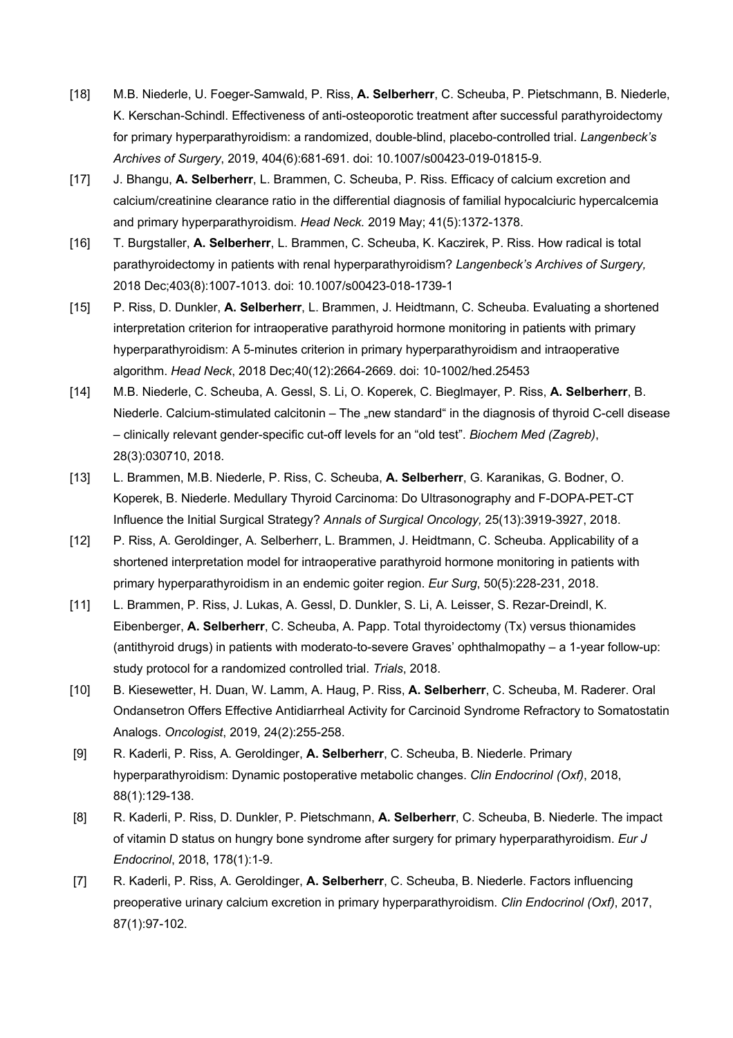- [18] M.B. Niederle, U. Foeger-Samwald, P. Riss, **A. Selberherr**, C. Scheuba, P. Pietschmann, B. Niederle, K. Kerschan-Schindl. Effectiveness of anti-osteoporotic treatment after successful parathyroidectomy for primary hyperparathyroidism: a randomized, double-blind, placebo-controlled trial. *Langenbeck's Archives of Surgery*, 2019, 404(6):681-691. doi: 10.1007/s00423-019-01815-9.
- [17] J. Bhangu, **A. Selberherr**, L. Brammen, C. Scheuba, P. Riss. Efficacy of calcium excretion and calcium/creatinine clearance ratio in the differential diagnosis of familial hypocalciuric hypercalcemia and primary hyperparathyroidism. *Head Neck.* 2019 May; 41(5):1372-1378.
- [16] T. Burgstaller, **A. Selberherr**, L. Brammen, C. Scheuba, K. Kaczirek, P. Riss. How radical is total parathyroidectomy in patients with renal hyperparathyroidism? *Langenbeck's Archives of Surgery,* 2018 Dec;403(8):1007-1013. doi: 10.1007/s00423-018-1739-1
- [15] P. Riss, D. Dunkler, **A. Selberherr**, L. Brammen, J. Heidtmann, C. Scheuba. Evaluating a shortened interpretation criterion for intraoperative parathyroid hormone monitoring in patients with primary hyperparathyroidism: A 5-minutes criterion in primary hyperparathyroidism and intraoperative algorithm. *Head Neck*, 2018 Dec;40(12):2664-2669. doi: 10-1002/hed.25453
- [14] M.B. Niederle, C. Scheuba, A. Gessl, S. Li, O. Koperek, C. Bieglmayer, P. Riss, **A. Selberherr**, B. Niederle. Calcium-stimulated calcitonin – The "new standard" in the diagnosis of thyroid C-cell disease – clinically relevant gender-specific cut-off levels for an "old test". *Biochem Med (Zagreb)*, 28(3):030710, 2018.
- [13] L. Brammen, M.B. Niederle, P. Riss, C. Scheuba, **A. Selberherr**, G. Karanikas, G. Bodner, O. Koperek, B. Niederle. Medullary Thyroid Carcinoma: Do Ultrasonography and F-DOPA-PET-CT Influence the Initial Surgical Strategy? *Annals of Surgical Oncology,* 25(13):3919-3927, 2018.
- [12] P. Riss, A. Geroldinger, A. Selberherr, L. Brammen, J. Heidtmann, C. Scheuba. Applicability of a shortened interpretation model for intraoperative parathyroid hormone monitoring in patients with primary hyperparathyroidism in an endemic goiter region. *Eur Surg*, 50(5):228-231, 2018.
- [11] L. Brammen, P. Riss, J. Lukas, A. Gessl, D. Dunkler, S. Li, A. Leisser, S. Rezar-Dreindl, K. Eibenberger, **A. Selberherr**, C. Scheuba, A. Papp. Total thyroidectomy (Tx) versus thionamides (antithyroid drugs) in patients with moderato-to-severe Graves' ophthalmopathy – a 1-year follow-up: study protocol for a randomized controlled trial. *Trials*, 2018.
- [10] B. Kiesewetter, H. Duan, W. Lamm, A. Haug, P. Riss, **A. Selberherr**, C. Scheuba, M. Raderer. Oral Ondansetron Offers Effective Antidiarrheal Activity for Carcinoid Syndrome Refractory to Somatostatin Analogs. *Oncologist*, 2019, 24(2):255-258.
- [9] R. Kaderli, P. Riss, A. Geroldinger, **A. Selberherr**, C. Scheuba, B. Niederle. Primary hyperparathyroidism: Dynamic postoperative metabolic changes. *Clin Endocrinol (Oxf)*, 2018, 88(1):129-138.
- [8] R. Kaderli, P. Riss, D. Dunkler, P. Pietschmann, **A. Selberherr**, C. Scheuba, B. Niederle. The impact of vitamin D status on hungry bone syndrome after surgery for primary hyperparathyroidism. *Eur J Endocrinol*, 2018, 178(1):1-9.
- [7] R. Kaderli, P. Riss, A. Geroldinger, **A. Selberherr**, C. Scheuba, B. Niederle. Factors influencing preoperative urinary calcium excretion in primary hyperparathyroidism. *Clin Endocrinol (Oxf)*, 2017, 87(1):97-102.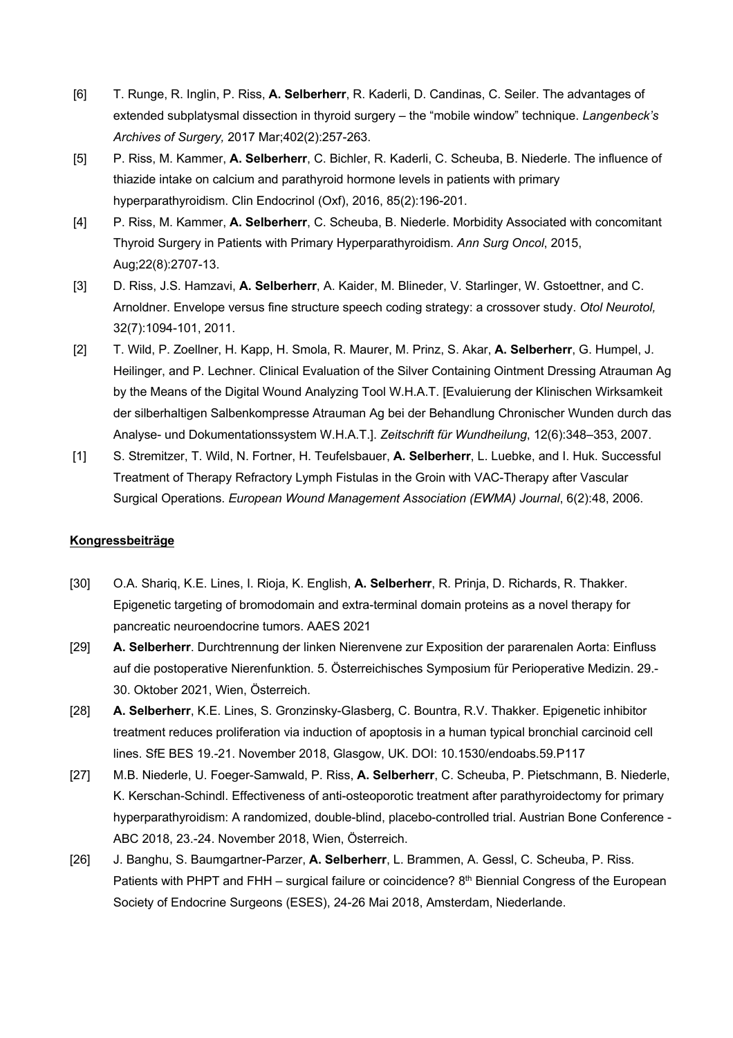- [6] T. Runge, R. Inglin, P. Riss, **A. Selberherr**, R. Kaderli, D. Candinas, C. Seiler. The advantages of extended subplatysmal dissection in thyroid surgery – the "mobile window" technique. *Langenbeck's Archives of Surgery,* 2017 Mar;402(2):257-263.
- [5] P. Riss, M. Kammer, **A. Selberherr**, C. Bichler, R. Kaderli, C. Scheuba, B. Niederle. The influence of thiazide intake on calcium and parathyroid hormone levels in patients with primary hyperparathyroidism. Clin Endocrinol (Oxf), 2016, 85(2):196-201.
- [4] P. Riss, M. Kammer, **A. Selberherr**, C. Scheuba, B. Niederle. Morbidity Associated with concomitant Thyroid Surgery in Patients with Primary Hyperparathyroidism. *Ann Surg Oncol*, 2015, Aug;22(8):2707-13.
- [3] D. Riss, J.S. Hamzavi, **A. Selberherr**, A. Kaider, M. Blineder, V. Starlinger, W. Gstoettner, and C. Arnoldner. Envelope versus fine structure speech coding strategy: a crossover study. *Otol Neurotol,* 32(7):1094-101, 2011.
- [2] T. Wild, P. Zoellner, H. Kapp, H. Smola, R. Maurer, M. Prinz, S. Akar, **A. Selberherr**, G. Humpel, J. Heilinger, and P. Lechner. Clinical Evaluation of the Silver Containing Ointment Dressing Atrauman Ag by the Means of the Digital Wound Analyzing Tool W.H.A.T. [Evaluierung der Klinischen Wirksamkeit der silberhaltigen Salbenkompresse Atrauman Ag bei der Behandlung Chronischer Wunden durch das Analyse- und Dokumentationssystem W.H.A.T.]. *Zeitschrift für Wundheilung*, 12(6):348–353, 2007.
- [1] S. Stremitzer, T. Wild, N. Fortner, H. Teufelsbauer, **A. Selberherr**, L. Luebke, and I. Huk. Successful Treatment of Therapy Refractory Lymph Fistulas in the Groin with VAC-Therapy after Vascular Surgical Operations. *European Wound Management Association (EWMA) Journal*, 6(2):48, 2006.

#### **Kongressbeiträge**

- [30] O.A. Shariq, K.E. Lines, I. Rioja, K. English, **A. Selberherr**, R. Prinja, D. Richards, R. Thakker. Epigenetic targeting of bromodomain and extra-terminal domain proteins as a novel therapy for pancreatic neuroendocrine tumors. AAES 2021
- [29] **A. Selberherr**. Durchtrennung der linken Nierenvene zur Exposition der pararenalen Aorta: Einfluss auf die postoperative Nierenfunktion. 5. Österreichisches Symposium für Perioperative Medizin. 29.- 30. Oktober 2021, Wien, Österreich.
- [28] **A. Selberherr**, K.E. Lines, S. Gronzinsky-Glasberg, C. Bountra, R.V. Thakker. Epigenetic inhibitor treatment reduces proliferation via induction of apoptosis in a human typical bronchial carcinoid cell lines. SfE BES 19.-21. November 2018, Glasgow, UK. DOI: 10.1530/endoabs.59.P117
- [27] M.B. Niederle, U. Foeger-Samwald, P. Riss, **A. Selberherr**, C. Scheuba, P. Pietschmann, B. Niederle, K. Kerschan-Schindl. Effectiveness of anti-osteoporotic treatment after parathyroidectomy for primary hyperparathyroidism: A randomized, double-blind, placebo-controlled trial. Austrian Bone Conference - ABC 2018, 23.-24. November 2018, Wien, Österreich.
- [26] J. Banghu, S. Baumgartner-Parzer, **A. Selberherr**, L. Brammen, A. Gessl, C. Scheuba, P. Riss. Patients with PHPT and FHH – surgical failure or coincidence? 8<sup>th</sup> Biennial Congress of the European Society of Endocrine Surgeons (ESES), 24-26 Mai 2018, Amsterdam, Niederlande.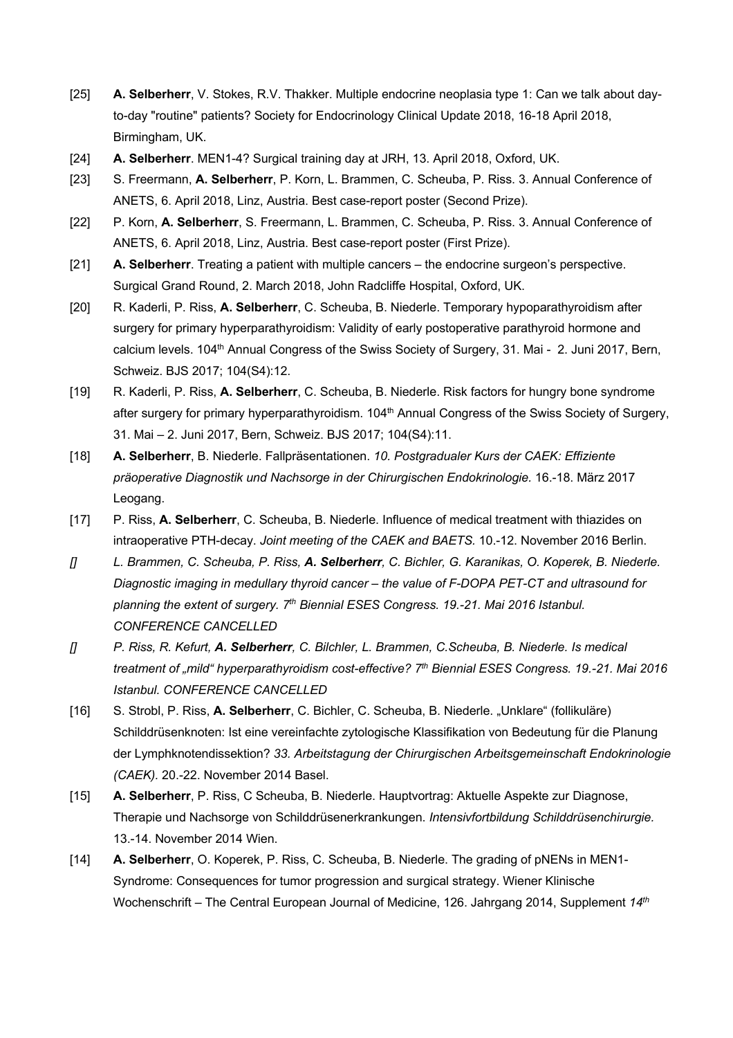- [25] **A. Selberherr**, V. Stokes, R.V. Thakker. Multiple endocrine neoplasia type 1: Can we talk about dayto-day "routine" patients? Society for Endocrinology Clinical Update 2018, 16-18 April 2018, Birmingham, UK.
- [24] **A. Selberherr**. MEN1-4? Surgical training day at JRH, 13. April 2018, Oxford, UK.
- [23] S. Freermann, **A. Selberherr**, P. Korn, L. Brammen, C. Scheuba, P. Riss. 3. Annual Conference of ANETS, 6. April 2018, Linz, Austria. Best case-report poster (Second Prize).
- [22] P. Korn, **A. Selberherr**, S. Freermann, L. Brammen, C. Scheuba, P. Riss. 3. Annual Conference of ANETS, 6. April 2018, Linz, Austria. Best case-report poster (First Prize).
- [21] **A. Selberherr**. Treating a patient with multiple cancers the endocrine surgeon's perspective. Surgical Grand Round, 2. March 2018, John Radcliffe Hospital, Oxford, UK.
- [20] R. Kaderli, P. Riss, **A. Selberherr**, C. Scheuba, B. Niederle. Temporary hypoparathyroidism after surgery for primary hyperparathyroidism: Validity of early postoperative parathyroid hormone and calcium levels. 104<sup>th</sup> Annual Congress of the Swiss Society of Surgery, 31. Mai - 2. Juni 2017, Bern, Schweiz. BJS 2017; 104(S4):12.
- [19] R. Kaderli, P. Riss, **A. Selberherr**, C. Scheuba, B. Niederle. Risk factors for hungry bone syndrome after surgery for primary hyperparathyroidism. 104<sup>th</sup> Annual Congress of the Swiss Society of Surgery, 31. Mai – 2. Juni 2017, Bern, Schweiz. BJS 2017; 104(S4):11.
- [18] **A. Selberherr**, B. Niederle. Fallpräsentationen. *10. Postgradualer Kurs der CAEK: Effiziente präoperative Diagnostik und Nachsorge in der Chirurgischen Endokrinologie.* 16.-18. März 2017 Leogang.
- [17] P. Riss, **A. Selberherr**, C. Scheuba, B. Niederle. Influence of medical treatment with thiazides on intraoperative PTH-decay. *Joint meeting of the CAEK and BAETS.* 10.-12. November 2016 Berlin.
- *[] L. Brammen, C. Scheuba, P. Riss, A. Selberherr, C. Bichler, G. Karanikas, O. Koperek, B. Niederle. Diagnostic imaging in medullary thyroid cancer – the value of F-DOPA PET-CT and ultrasound for planning the extent of surgery. 7th Biennial ESES Congress. 19.-21. Mai 2016 Istanbul. CONFERENCE CANCELLED*
- *[] P. Riss, R. Kefurt, A. Selberherr, C. Bilchler, L. Brammen, C.Scheuba, B. Niederle. Is medical treatment of "mild" hyperparathyroidism cost-effective? 7th Biennial ESES Congress. 19.-21. Mai 2016 Istanbul. CONFERENCE CANCELLED*
- [16] S. Strobl, P. Riss, A. Selberherr, C. Bichler, C. Scheuba, B. Niederle. "Unklare" (follikuläre) Schilddrüsenknoten: Ist eine vereinfachte zytologische Klassifikation von Bedeutung für die Planung der Lymphknotendissektion? *33. Arbeitstagung der Chirurgischen Arbeitsgemeinschaft Endokrinologie (CAEK).* 20.-22. November 2014 Basel.
- [15] **A. Selberherr**, P. Riss, C Scheuba, B. Niederle. Hauptvortrag: Aktuelle Aspekte zur Diagnose, Therapie und Nachsorge von Schilddrüsenerkrankungen. *Intensivfortbildung Schilddrüsenchirurgie.* 13.-14. November 2014 Wien.
- [14] **A. Selberherr**, O. Koperek, P. Riss, C. Scheuba, B. Niederle. The grading of pNENs in MEN1- Syndrome: Consequences for tumor progression and surgical strategy. Wiener Klinische Wochenschrift – The Central European Journal of Medicine, 126. Jahrgang 2014, Supplement *14th*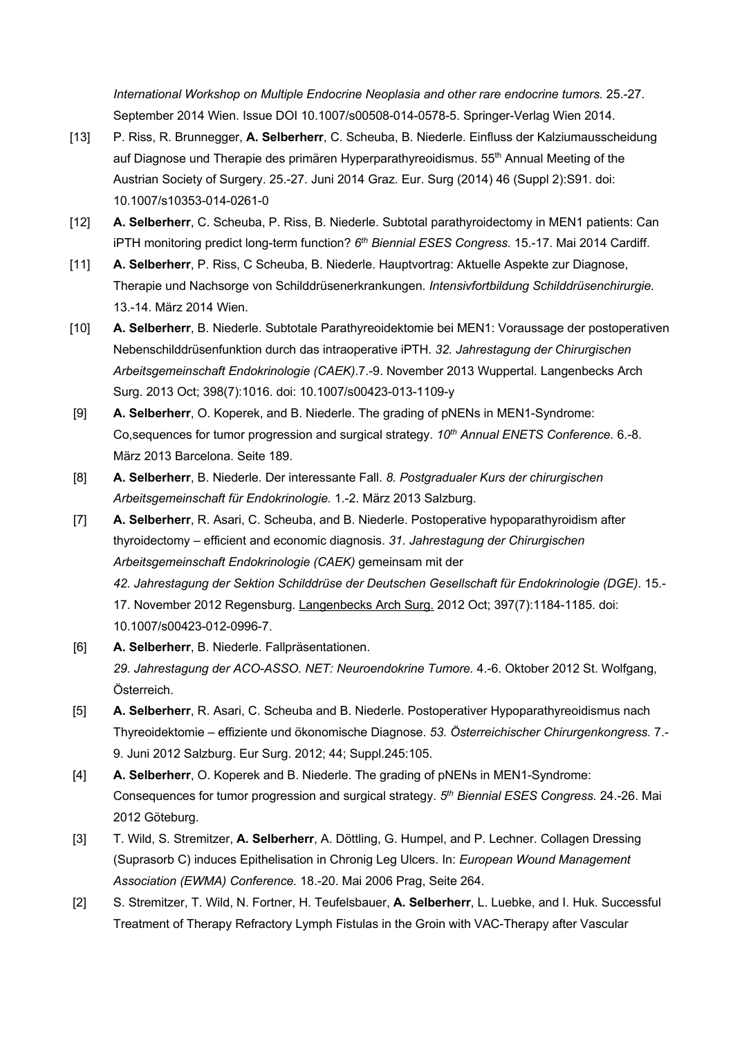*International Workshop on Multiple Endocrine Neoplasia and other rare endocrine tumors.* 25.-27. September 2014 Wien. Issue DOI 10.1007/s00508-014-0578-5. Springer-Verlag Wien 2014.

- [13] P. Riss, R. Brunnegger, **A. Selberherr**, C. Scheuba, B. Niederle. Einfluss der Kalziumausscheidung auf Diagnose und Therapie des primären Hyperparathyreoidismus. 55<sup>th</sup> Annual Meeting of the Austrian Society of Surgery. 25.-27. Juni 2014 Graz. Eur. Surg (2014) 46 (Suppl 2):S91. doi: 10.1007/s10353-014-0261-0
- [12] **A. Selberherr**, C. Scheuba, P. Riss, B. Niederle. Subtotal parathyroidectomy in MEN1 patients: Can iPTH monitoring predict long-term function? 6<sup>th</sup> Biennial ESES Congress. 15.-17. Mai 2014 Cardiff.
- [11] **A. Selberherr**, P. Riss, C Scheuba, B. Niederle. Hauptvortrag: Aktuelle Aspekte zur Diagnose, Therapie und Nachsorge von Schilddrüsenerkrankungen. *Intensivfortbildung Schilddrüsenchirurgie.* 13.-14. März 2014 Wien.
- [10] **A. Selberherr**, B. Niederle. Subtotale Parathyreoidektomie bei MEN1: Voraussage der postoperativen Nebenschilddrüsenfunktion durch das intraoperative iPTH. *32. Jahrestagung der Chirurgischen Arbeitsgemeinschaft Endokrinologie (CAEK)*.7.-9. November 2013 Wuppertal. Langenbecks Arch Surg. 2013 Oct; 398(7):1016. doi: 10.1007/s00423-013-1109-y
- [9] **A. Selberherr**, O. Koperek, and B. Niederle. The grading of pNENs in MEN1-Syndrome: Co, sequences for tumor progression and surgical strategy.  $10<sup>th</sup>$  *Annual ENETS Conference.* 6.-8. März 2013 Barcelona. Seite 189.
- [8] **A. Selberherr**, B. Niederle. Der interessante Fall. *8. Postgradualer Kurs der chirurgischen Arbeitsgemeinschaft für Endokrinologie.* 1.-2. März 2013 Salzburg.
- [7] **A. Selberherr**, R. Asari, C. Scheuba, and B. Niederle. Postoperative hypoparathyroidism after thyroidectomy – efficient and economic diagnosis. *31. Jahrestagung der Chirurgischen Arbeitsgemeinschaft Endokrinologie (CAEK)* gemeinsam mit der *42. Jahrestagung der Sektion Schilddrüse der Deutschen Gesellschaft für Endokrinologie (DGE)*. 15.- 17. November 2012 Regensburg. Langenbecks Arch Surg. 2012 Oct; 397(7):1184-1185. doi: 10.1007/s00423-012-0996-7.
- [6] **A. Selberherr**, B. Niederle. Fallpräsentationen. *29. Jahrestagung der ACO-ASSO. NET: Neuroendokrine Tumore.* 4.-6. Oktober 2012 St. Wolfgang, Österreich.
- [5] **A. Selberherr**, R. Asari, C. Scheuba and B. Niederle. Postoperativer Hypoparathyreoidismus nach Thyreoidektomie – effiziente und ökonomische Diagnose. *53. Österreichischer Chirurgenkongress.* 7.- 9. Juni 2012 Salzburg. Eur Surg. 2012; 44; Suppl.245:105.
- [4] **A. Selberherr**, O. Koperek and B. Niederle. The grading of pNENs in MEN1-Syndrome: Consequences for tumor progression and surgical strategy. *5th Biennial ESES Congress.* 24.-26. Mai 2012 Göteburg.
- [3] T. Wild, S. Stremitzer, **A. Selberherr**, A. Döttling, G. Humpel, and P. Lechner. Collagen Dressing (Suprasorb C) induces Epithelisation in Chronig Leg Ulcers. In: *European Wound Management Association (EWMA) Conference.* 18.-20. Mai 2006 Prag, Seite 264.
- [2] S. Stremitzer, T. Wild, N. Fortner, H. Teufelsbauer, **A. Selberherr**, L. Luebke, and I. Huk. Successful Treatment of Therapy Refractory Lymph Fistulas in the Groin with VAC-Therapy after Vascular